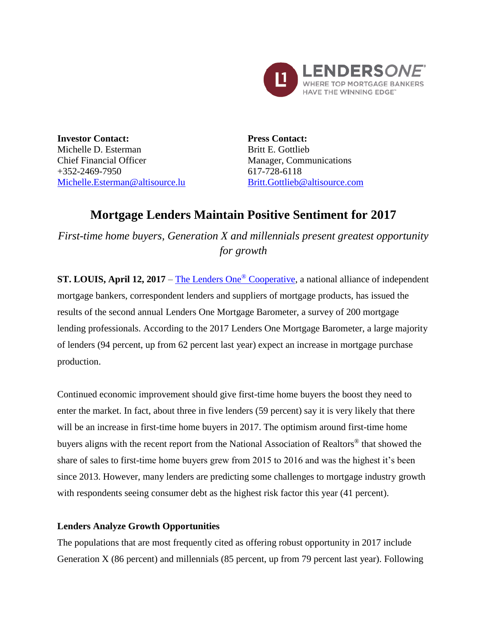

**Investor Contact:** Michelle D. Esterman Chief Financial Officer +352-2469-7950 [Michelle.Esterman@altisource.lu](mailto:Michelle.Esterman@altisource.lu) **Press Contact:** Britt E. Gottlieb Manager, Communications 617-728-6118 [Britt.Gottlieb@altisource.com](mailto:Britt.Gottlieb@altisource.com)

# **Mortgage Lenders Maintain Positive Sentiment for 2017**

*First-time home buyers, Generation X and millennials present greatest opportunity for growth*

**ST. LOUIS, April 12, 2017** – [The Lenders One](http://lendersone.com/?utm_campaign=L1MortgageBarometer1&utm_source=PR&utm_medium=PR&utm_content=first)® Cooperative, a national alliance of independent mortgage bankers, correspondent lenders and suppliers of mortgage products, has issued the results of the second annual Lenders One Mortgage Barometer, a survey of 200 mortgage lending professionals. According to the 2017 Lenders One Mortgage Barometer, a large majority of lenders (94 percent, up from 62 percent last year) expect an increase in mortgage purchase production.

Continued economic improvement should give first-time home buyers the boost they need to enter the market. In fact, about three in five lenders (59 percent) say it is very likely that there will be an increase in first-time home buyers in 2017. The optimism around first-time home buyers aligns with the recent report from the National Association of Realtors® that showed the share of sales to first-time home buyers grew from 2015 to 2016 and was the highest it's been since 2013. However, many lenders are predicting some challenges to mortgage industry growth with respondents seeing consumer debt as the highest risk factor this year (41 percent).

#### **Lenders Analyze Growth Opportunities**

The populations that are most frequently cited as offering robust opportunity in 2017 include Generation X (86 percent) and millennials (85 percent, up from 79 percent last year). Following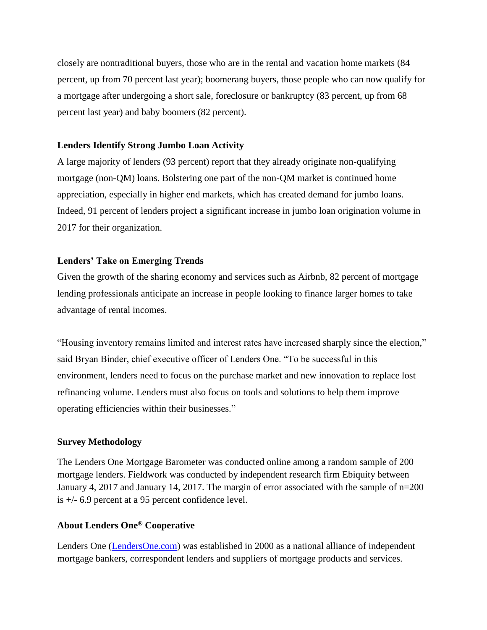closely are nontraditional buyers, those who are in the rental and vacation home markets (84 percent, up from 70 percent last year); boomerang buyers, those people who can now qualify for a mortgage after undergoing a short sale, foreclosure or bankruptcy (83 percent, up from 68 percent last year) and baby boomers (82 percent).

#### **Lenders Identify Strong Jumbo Loan Activity**

A large majority of lenders (93 percent) report that they already originate non-qualifying mortgage (non-QM) loans. Bolstering one part of the non-QM market is continued home appreciation, especially in higher end markets, which has created demand for jumbo loans. Indeed, 91 percent of lenders project a significant increase in jumbo loan origination volume in 2017 for their organization.

## **Lenders' Take on Emerging Trends**

Given the growth of the sharing economy and services such as Airbnb, 82 percent of mortgage lending professionals anticipate an increase in people looking to finance larger homes to take advantage of rental incomes.

"Housing inventory remains limited and interest rates have increased sharply since the election," said Bryan Binder, chief executive officer of Lenders One. "To be successful in this environment, lenders need to focus on the purchase market and new innovation to replace lost refinancing volume. Lenders must also focus on tools and solutions to help them improve operating efficiencies within their businesses."

## **Survey Methodology**

The Lenders One Mortgage Barometer was conducted online among a random sample of 200 mortgage lenders. Fieldwork was conducted by independent research firm Ebiquity between January 4, 2017 and January 14, 2017. The margin of error associated with the sample of n=200 is +/- 6.9 percent at a 95 percent confidence level.

## **About Lenders One® Cooperative**

Lenders One [\(LendersOne.com\)](http://www.lendersone.com/?utm_campaign=L1MortgageBarometer1&utm_source=PR&utm_medium=PR&utm_content=boilerplate) was established in 2000 as a national alliance of independent mortgage bankers, correspondent lenders and suppliers of mortgage products and services.